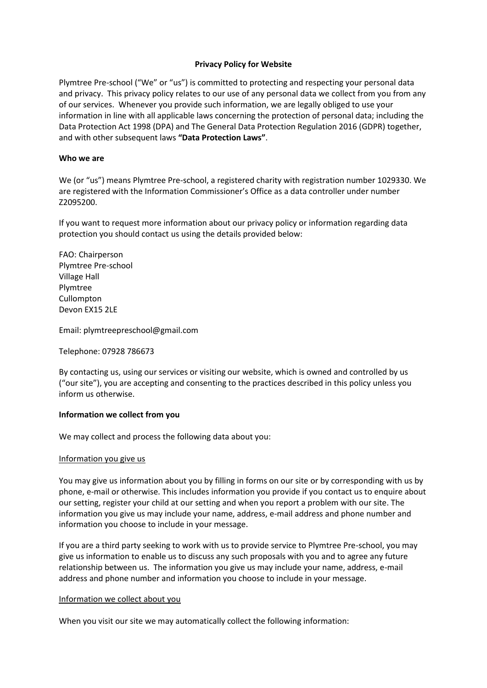## **Privacy Policy for Website**

Plymtree Pre-school ("We" or "us") is committed to protecting and respecting your personal data and privacy. This privacy policy relates to our use of any personal data we collect from you from any of our services. Whenever you provide such information, we are legally obliged to use your information in line with all applicable laws concerning the protection of personal data; including the Data Protection Act 1998 (DPA) and The General Data Protection Regulation 2016 (GDPR) together, and with other subsequent laws **"Data Protection Laws"**.

## **Who we are**

We (or "us") means Plymtree Pre-school, a registered charity with registration number 1029330. We are registered with the Information Commissioner's Office as a data controller under number Z2095200.

If you want to request more information about our privacy policy or information regarding data protection you should contact us using the details provided below:

FAO: Chairperson Plymtree Pre-school Village Hall Plymtree Cullompton Devon EX15 2LE

Email: plymtreepreschool@gmail.com

Telephone: 07928 786673

By contacting us, using our services or visiting our website, which is owned and controlled by us ("our site"), you are accepting and consenting to the practices described in this policy unless you inform us otherwise.

## **Information we collect from you**

We may collect and process the following data about you:

#### Information you give us

You may give us information about you by filling in forms on our site or by corresponding with us by phone, e-mail or otherwise. This includes information you provide if you contact us to enquire about our setting, register your child at our setting and when you report a problem with our site. The information you give us may include your name, address, e-mail address and phone number and information you choose to include in your message.

If you are a third party seeking to work with us to provide service to Plymtree Pre-school, you may give us information to enable us to discuss any such proposals with you and to agree any future relationship between us. The information you give us may include your name, address, e-mail address and phone number and information you choose to include in your message.

#### Information we collect about you

When you visit our site we may automatically collect the following information: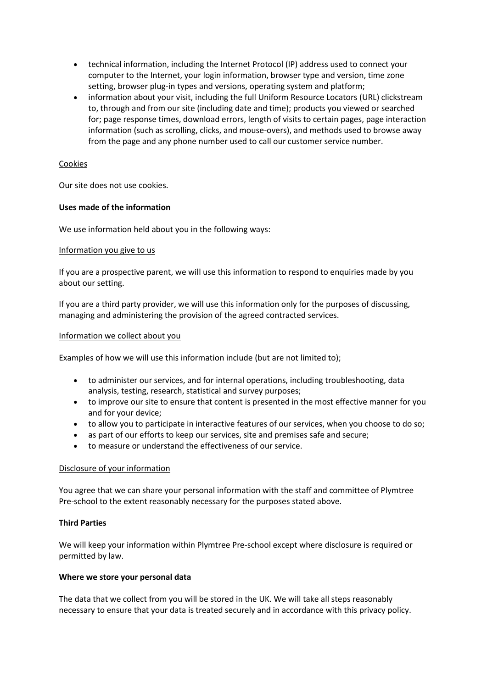- technical information, including the Internet Protocol (IP) address used to connect your computer to the Internet, your login information, browser type and version, time zone setting, browser plug-in types and versions, operating system and platform;
- information about your visit, including the full Uniform Resource Locators (URL) clickstream to, through and from our site (including date and time); products you viewed or searched for; page response times, download errors, length of visits to certain pages, page interaction information (such as scrolling, clicks, and mouse-overs), and methods used to browse away from the page and any phone number used to call our customer service number.

# Cookies

Our site does not use cookies.

# **Uses made of the information**

We use information held about you in the following ways:

## Information you give to us

If you are a prospective parent, we will use this information to respond to enquiries made by you about our setting.

If you are a third party provider, we will use this information only for the purposes of discussing, managing and administering the provision of the agreed contracted services.

## Information we collect about you

Examples of how we will use this information include (but are not limited to);

- to administer our services, and for internal operations, including troubleshooting, data analysis, testing, research, statistical and survey purposes;
- to improve our site to ensure that content is presented in the most effective manner for you and for your device;
- to allow you to participate in interactive features of our services, when you choose to do so;
- as part of our efforts to keep our services, site and premises safe and secure;
- to measure or understand the effectiveness of our service.

## Disclosure of your information

You agree that we can share your personal information with the staff and committee of Plymtree Pre-school to the extent reasonably necessary for the purposes stated above.

## **Third Parties**

We will keep your information within Plymtree Pre-school except where disclosure is required or permitted by law.

## **Where we store your personal data**

The data that we collect from you will be stored in the UK. We will take all steps reasonably necessary to ensure that your data is treated securely and in accordance with this privacy policy.